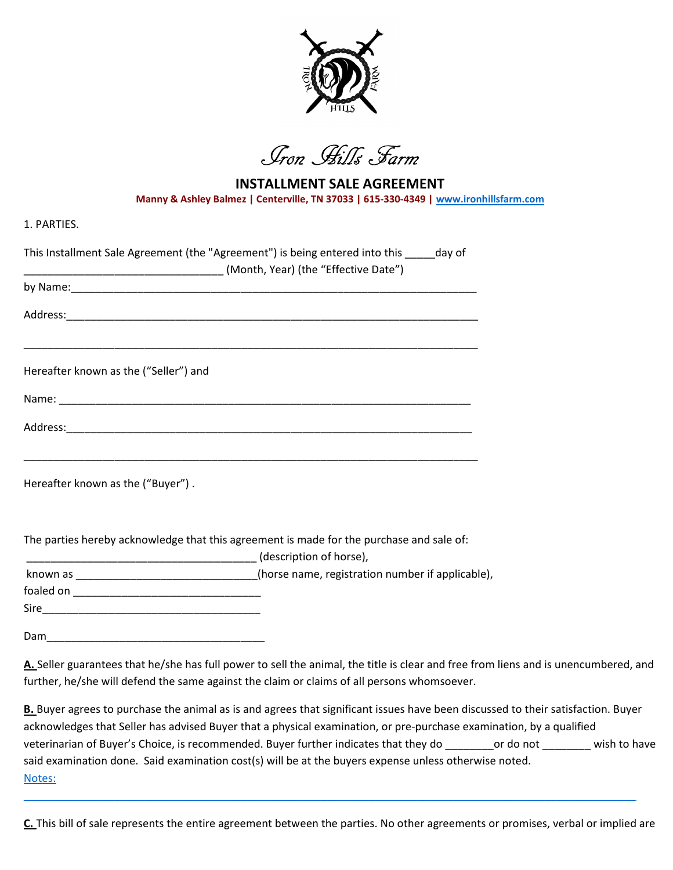

Iron Hills Farm

INSTALLMENT SALE AGREEMENT Manny & Ashley Balmez | Centerville, TN 37033 | 615-330-4349 | www.ironhillsfarm.com

1. PARTIES.

| This Installment Sale Agreement (the "Agreement") is being entered into this _____ day of |
|-------------------------------------------------------------------------------------------|
|                                                                                           |
|                                                                                           |
| Hereafter known as the ("Seller") and                                                     |
|                                                                                           |
|                                                                                           |
| Hereafter known as the ("Buyer").                                                         |
| The parties hereby acknowledge that this agreement is made for the purchase and sale of:  |

\_\_\_\_\_\_\_\_\_\_\_\_\_\_\_\_\_\_\_\_\_\_\_\_\_\_\_\_\_\_\_\_\_\_\_\_\_\_ (description of horse),

known as \_\_\_\_\_\_\_\_\_\_\_\_\_\_\_\_\_\_\_\_\_\_\_\_\_\_\_\_\_(horse name, registration number if applicable),

foaled on \_\_\_\_\_\_\_\_\_\_\_\_\_\_\_\_\_\_\_\_\_\_\_\_\_\_\_\_\_\_\_

Sire\_\_\_\_\_\_\_\_\_\_\_\_\_\_\_\_\_\_\_\_\_\_\_\_\_\_\_\_\_\_\_\_\_\_\_\_

Dam\_\_\_\_\_\_\_\_\_\_\_\_\_\_\_\_\_\_\_\_\_\_\_\_\_\_\_\_\_\_\_\_\_\_\_\_

A. Seller guarantees that he/she has full power to sell the animal, the title is clear and free from liens and is unencumbered, and further, he/she will defend the same against the claim or claims of all persons whomsoever.

B. Buyer agrees to purchase the animal as is and agrees that significant issues have been discussed to their satisfaction. Buyer acknowledges that Seller has advised Buyer that a physical examination, or pre-purchase examination, by a qualified veterinarian of Buyer's Choice, is recommended. Buyer further indicates that they do \_\_\_\_\_\_\_or do not \_\_\_\_\_\_\_ wish to have said examination done. Said examination cost(s) will be at the buyers expense unless otherwise noted. Notes:

C. This bill of sale represents the entire agreement between the parties. No other agreements or promises, verbal or implied are

\_\_\_\_\_\_\_\_\_\_\_\_\_\_\_\_\_\_\_\_\_\_\_\_\_\_\_\_\_\_\_\_\_\_\_\_\_\_\_\_\_\_\_\_\_\_\_\_\_\_\_\_\_\_\_\_\_\_\_\_\_\_\_\_\_\_\_\_\_\_\_\_\_\_\_\_\_\_\_\_\_\_\_\_\_\_\_\_\_\_\_\_\_\_\_\_\_\_\_\_\_